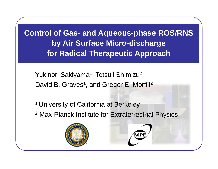**Control of Gas- and Aqueous-phase ROS/RNS by Air Surface Micro-discharge for Radical Therapeutic Approach**

Yukinori Sakiyama<sup>1</sup>, Tetsuji Shimizu<sup>2</sup>, David B. Graves<sup>1</sup>, and Gregor E. Morfill<sup>2</sup>

1 University of California at Berkeley

2 Max-Planck Institute for Extraterrestrial Physics



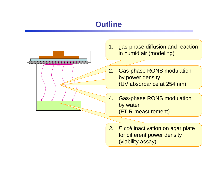# **Outline**

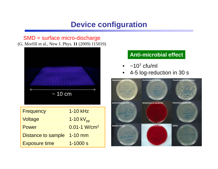## **Device configuration**

#### SMD = surface micro-discharge (G. Morfill et al., New J. Phys. **11** (2009) 115019)



| <b>Frequency</b>     | $1-10$ kHz                   |
|----------------------|------------------------------|
| Voltage              | 1-10 $\text{kV}_{\text{pp}}$ |
| Power                | $0.01 - 1$ W/cm <sup>2</sup> |
| Distance to sample   | $1 - 10$ mm                  |
| <b>Exposure time</b> | $1 - 1000 s$                 |

#### **Anti-microbial effect**

- • $\sim$ 10<sup>7</sup> cfu/ml
- •4-5 log-reduction in 30 s

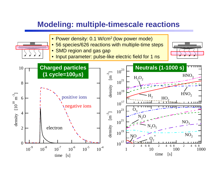### **Modeling: multiple-timescale reactions**

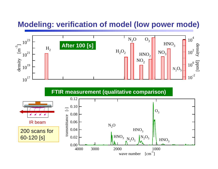## **Modeling: verification of model (low power mode)**

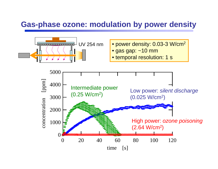### **Gas-phase ozone: modulation by power density**

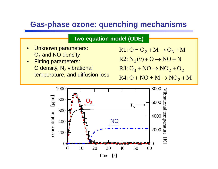#### **Gas-phase ozone: quenching mechanisms**

#### **Two equation model (ODE)**

- • Unknown parameters:  $\mathsf{O}_3$  and NO density
- • Fitting parameters: O density,  $\mathsf{N}_2$  vibrational temperature, and diffusion loss

 $R1:O+O_2+M \rightarrow O_3+M$ 

 $R2: N_2(v)$  + O  $\rightarrow$  NO + N

$$
R3: O_3 + NO \rightarrow NO_2 + O_2
$$

 $R4$ : O + NO + M  $\rightarrow$  NO  $_2$  + M

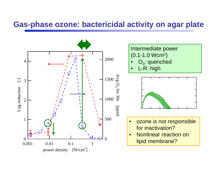### **Gas-phase ozone: bactericidal activity on agar plate**



Intermediate power (0.1-1.0 Wcm2)

- • $O_3$ : quenched
- •L-R: high



- $\bullet$  ozone is not responsible for inactivation?
- • Nonlinear reaction on lipid membrane?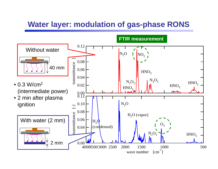## **Water layer: modulation of gas-phase RONS**

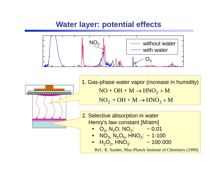## **Water layer: potential effects**



<del>xxii ii ii ii ii ii ixx</del> •

1. Gas-phase water vapor (increase in humidity)  $\rm{NO} + \rm{OH} + \rm{M} \rightarrow \rm{HNO}_2 + \rm{M}$  $\mathrm{NO}_2^- + \mathrm{OH} + \mathrm{M} \rightarrow \mathrm{HNO}_3 + \mathrm{M}$ 

2. Selective absorption in water Henry's law constant [M/atm]

- $O_3$ , N<sub>2</sub>O, NO<sub>2</sub>:  $\sim 0.01$
- $\rm{NO}_{3},\rm{N}_{2}\rm{O}_{5},\rm{HNO}_{2}$ : ~ 1-100
- $H_{2}O_{2}$ ,  $HNO_{3}$ :  $-$  100 000

Ref.: R. Sander, Max-Planck Institute of Chemistry (1999)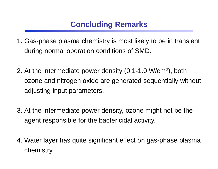# **Concluding Remarks**

- 1. Gas-phase plasma chemistry is most likely to be in transient during normal operation conditions of SMD.
- 2. At the intermediate power density (0.1-1.0 W/cm 2), both ozone and nitrogen oxide are generated sequentially without adjusting input parameters.
- 3. At the intermediate power density, ozone might not be the agent responsible for the bactericidal activity.
- 4. Water layer has quite significant effect on gas-phase plasma chemistry.